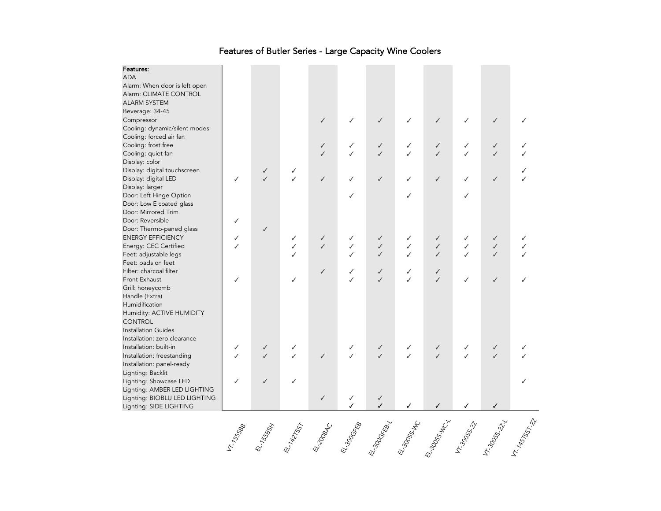| Features:<br><b>ADA</b>                                 |   |              |                   |                   |              |                              |        |                   |              |                          |  |
|---------------------------------------------------------|---|--------------|-------------------|-------------------|--------------|------------------------------|--------|-------------------|--------------|--------------------------|--|
|                                                         |   |              |                   |                   |              |                              |        |                   |              |                          |  |
| Alarm: When door is left open<br>Alarm: CLIMATE CONTROL |   |              |                   |                   |              |                              |        |                   |              |                          |  |
| <b>ALARM SYSTEM</b>                                     |   |              |                   |                   |              |                              |        |                   |              |                          |  |
|                                                         |   |              |                   |                   |              |                              |        |                   |              |                          |  |
| Beverage: 34-45                                         |   |              |                   |                   |              | $\checkmark$                 |        | $\checkmark$      | ✓            | $\checkmark$             |  |
| Compressor<br>Cooling: dynamic/silent modes             |   |              |                   | ✓                 |              |                              |        |                   |              |                          |  |
|                                                         |   |              |                   |                   |              |                              |        |                   |              |                          |  |
| Cooling: forced air fan                                 |   |              |                   |                   |              |                              |        |                   |              |                          |  |
| Cooling: frost free                                     |   |              |                   | ✓<br>$\checkmark$ | ✓<br>✓       | $\checkmark$<br>$\checkmark$ | ✓<br>✓ | ✓<br>$\checkmark$ | ✓<br>✓       | ✓                        |  |
| Cooling: quiet fan                                      |   |              |                   |                   |              |                              |        |                   |              | $\checkmark$             |  |
| Display: color                                          |   |              |                   |                   |              |                              |        |                   |              |                          |  |
| Display: digital touchscreen                            |   | $\checkmark$ | ✓<br>$\checkmark$ |                   |              |                              |        |                   |              |                          |  |
| Display: digital LED                                    | ✓ |              |                   | $\checkmark$      | ✓            | $\checkmark$                 | ✓      | ✓                 | ✓            | $\checkmark$             |  |
| Display: larger                                         |   |              |                   |                   |              |                              |        |                   |              |                          |  |
| Door: Left Hinge Option                                 |   |              |                   |                   | ✓            |                              | ✓      |                   | ✓            |                          |  |
| Door: Low E coated glass<br>Door: Mirrored Trim         |   |              |                   |                   |              |                              |        |                   |              |                          |  |
| Door: Reversible                                        |   |              |                   |                   |              |                              |        |                   |              |                          |  |
|                                                         | ✓ |              |                   |                   |              |                              |        |                   |              |                          |  |
| Door: Thermo-paned glass                                |   | ✓            |                   |                   |              |                              |        |                   |              |                          |  |
| <b>ENERGY EFFICIENCY</b>                                | ✓ |              | ✓                 | $\checkmark$      | ✓            | ✓                            |        | ✓                 | ✓            | ✓                        |  |
| Energy: CEC Certified                                   | ✓ |              | ✓                 | $\checkmark$      | ✓            | $\checkmark$                 | ✓      | $\checkmark$      | ✓            | $\checkmark$             |  |
| Feet: adjustable legs                                   |   |              | ✓                 |                   |              | $\checkmark$                 | J      | $\checkmark$      | ✓            | $\overline{\mathcal{L}}$ |  |
| Feet: pads on feet                                      |   |              |                   |                   |              |                              |        |                   |              |                          |  |
| Filter: charcoal filter                                 |   |              |                   | ✓                 | ✓            | $\checkmark$                 | ✓      | √                 |              |                          |  |
| Front Exhaust                                           | ✓ |              | ✓                 |                   | ✓            | $\checkmark$                 | ✓      | $\checkmark$      | ✓            | $\checkmark$             |  |
| Grill: honeycomb                                        |   |              |                   |                   |              |                              |        |                   |              |                          |  |
| Handle (Extra)                                          |   |              |                   |                   |              |                              |        |                   |              |                          |  |
| Humidification                                          |   |              |                   |                   |              |                              |        |                   |              |                          |  |
| Humidity: ACTIVE HUMIDITY                               |   |              |                   |                   |              |                              |        |                   |              |                          |  |
| <b>CONTROL</b>                                          |   |              |                   |                   |              |                              |        |                   |              |                          |  |
| <b>Installation Guides</b>                              |   |              |                   |                   |              |                              |        |                   |              |                          |  |
| Installation: zero clearance                            |   |              |                   |                   |              |                              |        |                   |              |                          |  |
| Installation: built-in                                  | ✓ | $\checkmark$ | $\checkmark$      |                   | $\checkmark$ | $\checkmark$                 | ✓      | $\checkmark$      | $\checkmark$ | $\checkmark$             |  |
| Installation: freestanding                              | ✓ | $\checkmark$ | ✓                 | $\checkmark$      | $\checkmark$ | $\checkmark$                 | ✓      | $\checkmark$      | ✓            | $\checkmark$             |  |
| Installation: panel-ready                               |   |              |                   |                   |              |                              |        |                   |              |                          |  |
| Lighting: Backlit                                       |   |              |                   |                   |              |                              |        |                   |              |                          |  |
| Lighting: Showcase LED                                  | ✓ | ✓            | ✓                 |                   |              |                              |        |                   |              |                          |  |
| Lighting: AMBER LED LIGHTING                            |   |              |                   |                   |              |                              |        |                   |              |                          |  |
| Lighting: BIOBLU LED LIGHTING                           |   |              |                   | ✓                 | ✓            | $\checkmark$                 |        |                   |              |                          |  |
| Lighting: SIDE LIGHTING                                 |   |              |                   |                   |              | ✓                            |        | ✓                 | ✓            |                          |  |
|                                                         |   |              |                   |                   |              |                              |        |                   |              |                          |  |

## Features of Butler Series - Large Capacity Wine Coolers